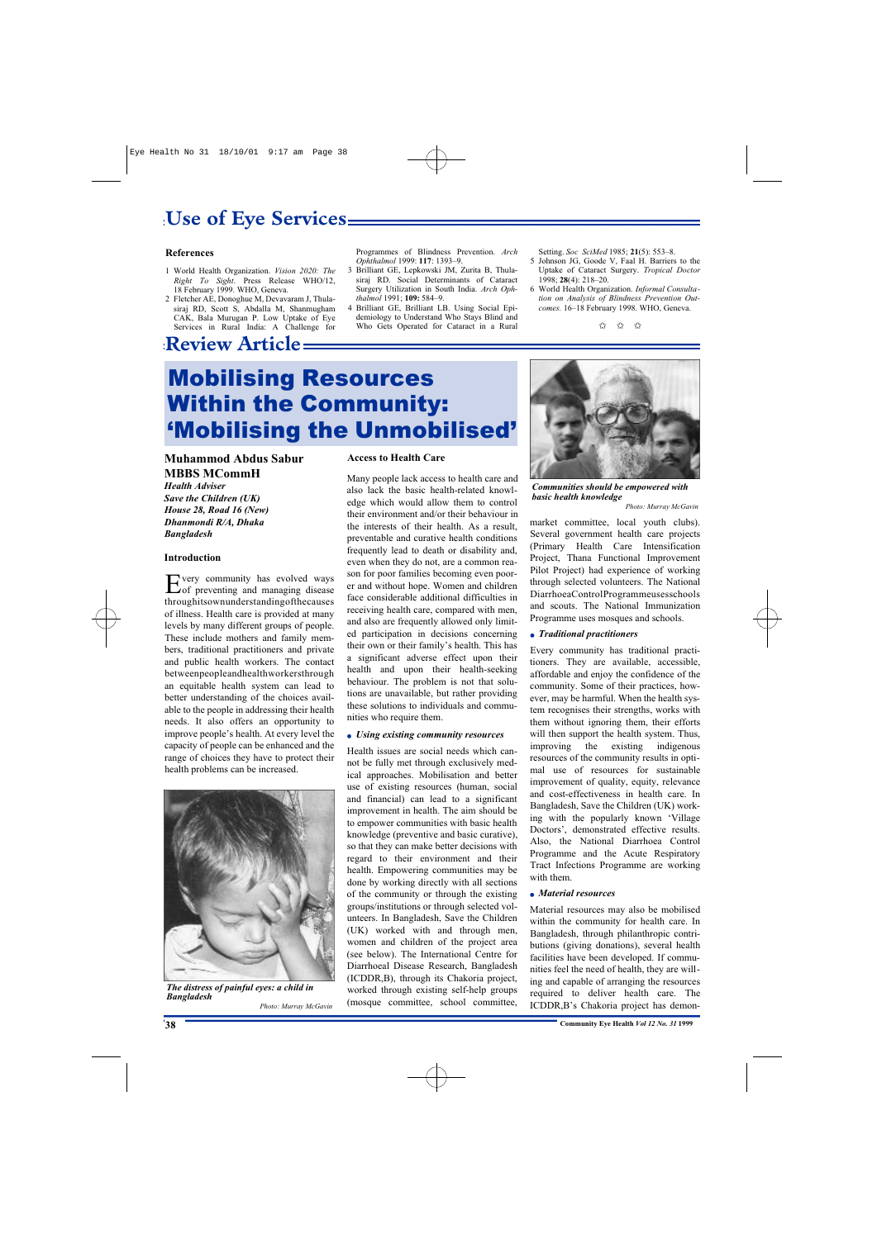## **Use of Eye Services**

### **References**

- 1 World Health Organization. *Vision 2020: The Right To Sight*. Press Release WHO/12, 18 February 1999. WHO, Geneva.
- 2 Fletcher AE, Donoghue M, Devavaram J, Thulasiraj RD, Scott S, Abdalla M, Shanmugham CAK, Bala Murugan P. Low Uptake of Eye Services in Rural India: A Challenge for

### **Review Article**

Programmes of Blindness Prevention. *Arch Ophthalmol* 1999: **117**: 1393–9.

- 3 Brilliant GE, Lepkowski JM, Zurita B, Thulasiraj RD. Social Determinants of Cataract Surgery Utilization in South India. *Arch Ophthalmol* 1991; **109:** 584–9.
- 4 Brilliant GE, Brilliant LB. Using Social Epidemiology to Understand Who Stays Blind and Who Gets Operated for Cataract in a Rural

Setting. *Soc SciMed* 1985; **21**(5): 553–8.

- 5 Johnson JG, Goode V, Faal H. Barriers to the Uptake of Cataract Surgery. *Tropical Doctor* 1998; **28**(4): 218–20.
- 6 World Health Organization. *Informal Consultation on Analysis of Blindness Prevention Outcomes.* 16–18 February 1998. WHO, Geneva.



# **Mobilising Resources Within the Community:** 'Mobilising the Unmobilised'

### **Muhammod Abdus Sabur MBBS MCommH**

*Health Adviser Save the Children (UK) House 28, Road 16 (New) Dhanmondi R/A, Dhaka Bangladesh*

#### **Introduction**

Every community has evolved ways<br>
of preventing and managing disease very community has evolved ways throughitsownunderstandingofthecauses of illness. Health care is provided at many levels by many different groups of people. These include mothers and family members, traditional practitioners and private and public health workers. The contact betweenpeopleandhealthworkersthrough an equitable health system can lead to better understanding of the choices available to the people in addressing their health needs. It also offers an opportunity to improve people's health. At every level the capacity of people can be enhanced and the range of choices they have to protect their health problems can be increased.



*The distress of painful eyes: a child in Bangladesh Photo: Murray McGavin*

### **Access to Health Care**

Many people lack access to health care and also lack the basic health-related knowledge which would allow them to control their environment and/or their behaviour in the interests of their health. As a result, preventable and curative health conditions frequently lead to death or disability and, even when they do not, are a common reason for poor families becoming even poorer and without hope. Women and children face considerable additional difficulties in receiving health care, compared with men, and also are frequently allowed only limited participation in decisions concerning their own or their family's health. This has a significant adverse effect upon their health and upon their health-seeking behaviour. The problem is not that solutions are unavailable, but rather providing these solutions to individuals and communities who require them.

### ● *Using existing community resources*

Health issues are social needs which cannot be fully met through exclusively medical approaches. Mobilisation and better use of existing resources (human, social and financial) can lead to a significant improvement in health. The aim should be to empower communities with basic health knowledge (preventive and basic curative), so that they can make better decisions with regard to their environment and their health. Empowering communities may be done by working directly with all sections of the community or through the existing groups/institutions or through selected volunteers. In Bangladesh, Save the Children (UK) worked with and through men, women and children of the project area (see below). The International Centre for Diarrhoeal Disease Research, Bangladesh (ICDDR,B), through its Chakoria project, worked through existing self-help groups (mosque committee, school committee,



*Communities should be empowered with basic health knowledge Photo: Murray McGavin*

market committee, local youth clubs). Several government health care projects (Primary Health Care Intensification Project, Thana Functional Improvement Pilot Project) had experience of working through selected volunteers. The National DiarrhoeaControlProgrammeusesschools and scouts. The National Immunization Programme uses mosques and schools.

### ● *Traditional practitioners*

Every community has traditional practitioners. They are available, accessible, affordable and enjoy the confidence of the community. Some of their practices, however, may be harmful. When the health system recognises their strengths, works with them without ignoring them, their efforts will then support the health system. Thus, improving the existing indigenous resources of the community results in optimal use of resources for sustainable improvement of quality, equity, relevance and cost-effectiveness in health care. In Bangladesh, Save the Children (UK) working with the popularly known 'Village Doctors', demonstrated effective results. Also, the National Diarrhoea Control Programme and the Acute Respiratory Tract Infections Programme are working with them.

### ● *Material resources*

Material resources may also be mobilised within the community for health care. In Bangladesh, through philanthropic contributions (giving donations), several health facilities have been developed. If communities feel the need of health, they are willing and capable of arranging the resources required to deliver health care. The ICDDR,B's Chakoria project has demon-